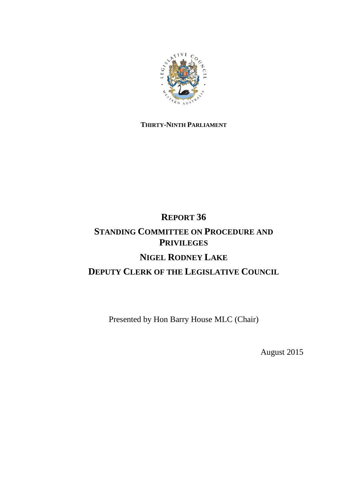

## **THIRTY-NINTH PARLIAMENT**

# **REPORT 36 STANDING COMMITTEE ON PROCEDURE AND PRIVILEGES NIGEL RODNEY LAKE DEPUTY CLERK OF THE LEGISLATIVE COUNCIL**

Presented by Hon Barry House MLC (Chair)

August 2015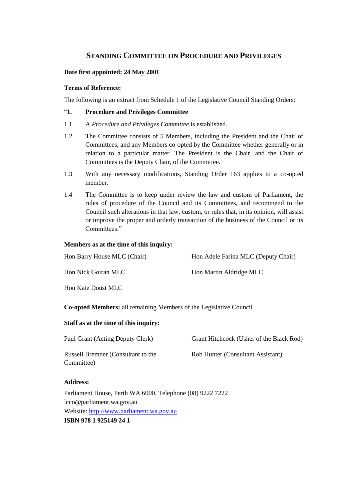### **STANDING COMMITTEE ON PROCEDURE AND PRIVILEGES**

#### **Date first appointed: 24 May 2001**

#### **Terms of Reference:**

The following is an extract from Schedule 1 of the Legislative Council Standing Orders:

#### "**1. Procedure and Privileges Committee**

- 1.1 A *Procedure and Privileges Committee* is established.
- 1.2 The Committee consists of 5 Members, including the President and the Chair of Committees, and any Members co-opted by the Committee whether generally or in relation to a particular matter. The President is the Chair, and the Chair of Committees is the Deputy Chair, of the Committee.
- 1.3 With any necessary modifications, Standing Order 163 applies to a co-opted member.
- 1.4 The Committee is to keep under review the law and custom of Parliament, the rules of procedure of the Council and its Committees, and recommend to the Council such alterations in that law, custom, or rules that, in its opinion, will assist or improve the proper and orderly transaction of the business of the Council or its Committees."

#### **Members as at the time of this inquiry:**

| Hon Barry House MLC (Chair) | Hon Adele Farina MLC (Deputy Chair) |
|-----------------------------|-------------------------------------|
| Hon Nick Goiran MLC         | Hon Martin Aldridge MLC             |
| Hon Kate Doust MLC          |                                     |

**Co-opted Members:** all remaining Members of the Legislative Council

#### **Staff as at the time of this inquiry:**

Russell Bremner (Consultant to the Committee)

Paul Grant (Acting Deputy Clerk) Grant Hitchcock (Usher of the Black Rod)

Rob Hunter (Consultant Assistant)

#### **Address:**

Parliament House, Perth WA 6000, Telephone (08) 9222 7222 lcco@parliament.wa.gov.au Website: [http://www.parliament.wa.gov.au](http://www.parliament.wa.gov.au/) **ISBN 978 1 925149 24 1**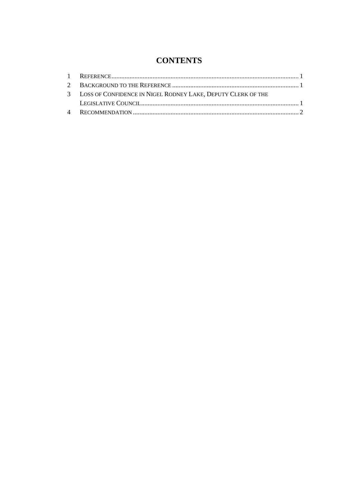# **CONTENTS**

| 3 LOSS OF CONFIDENCE IN NIGEL RODNEY LAKE, DEPUTY CLERK OF THE |  |
|----------------------------------------------------------------|--|
|                                                                |  |
|                                                                |  |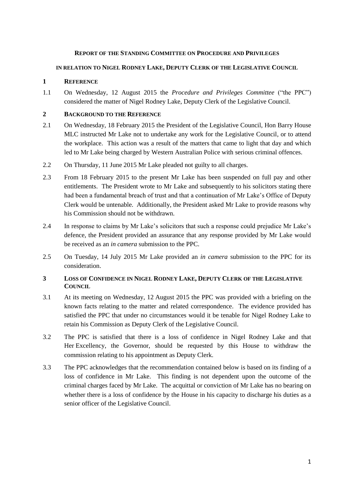#### **REPORT OF THE STANDING COMMITTEE ON PROCEDURE AND PRIVILEGES**

#### **IN RELATION TO NIGEL RODNEY LAKE, DEPUTY CLERK OF THE LEGISLATIVE COUNCIL**

#### <span id="page-3-0"></span>**1 REFERENCE**

1.1 On Wednesday, 12 August 2015 the *Procedure and Privileges Committee* ("the PPC") considered the matter of Nigel Rodney Lake, Deputy Clerk of the Legislative Council.

#### <span id="page-3-1"></span>**2 BACKGROUND TO THE REFERENCE**

- 2.1 On Wednesday, 18 February 2015 the President of the Legislative Council, Hon Barry House MLC instructed Mr Lake not to undertake any work for the Legislative Council, or to attend the workplace. This action was a result of the matters that came to light that day and which led to Mr Lake being charged by Western Australian Police with serious criminal offences.
- 2.2 On Thursday, 11 June 2015 Mr Lake pleaded not guilty to all charges.
- 2.3 From 18 February 2015 to the present Mr Lake has been suspended on full pay and other entitlements. The President wrote to Mr Lake and subsequently to his solicitors stating there had been a fundamental breach of trust and that a continuation of Mr Lake's Office of Deputy Clerk would be untenable. Additionally, the President asked Mr Lake to provide reasons why his Commission should not be withdrawn.
- 2.4 In response to claims by Mr Lake's solicitors that such a response could prejudice Mr Lake's defence, the President provided an assurance that any response provided by Mr Lake would be received as an *in camera* submission to the PPC.
- 2.5 On Tuesday, 14 July 2015 Mr Lake provided an *in camera* submission to the PPC for its consideration.

#### <span id="page-3-2"></span>**3 LOSS OF CONFIDENCE IN NIGEL RODNEY LAKE, DEPUTY CLERK OF THE LEGISLATIVE COUNCIL**

- 3.1 At its meeting on Wednesday, 12 August 2015 the PPC was provided with a briefing on the known facts relating to the matter and related correspondence. The evidence provided has satisfied the PPC that under no circumstances would it be tenable for Nigel Rodney Lake to retain his Commission as Deputy Clerk of the Legislative Council.
- 3.2 The PPC is satisfied that there is a loss of confidence in Nigel Rodney Lake and that Her Excellency, the Governor, should be requested by this House to withdraw the commission relating to his appointment as Deputy Clerk.
- 3.3 The PPC acknowledges that the recommendation contained below is based on its finding of a loss of confidence in Mr Lake. This finding is not dependent upon the outcome of the criminal charges faced by Mr Lake. The acquittal or conviction of Mr Lake has no bearing on whether there is a loss of confidence by the House in his capacity to discharge his duties as a senior officer of the Legislative Council.